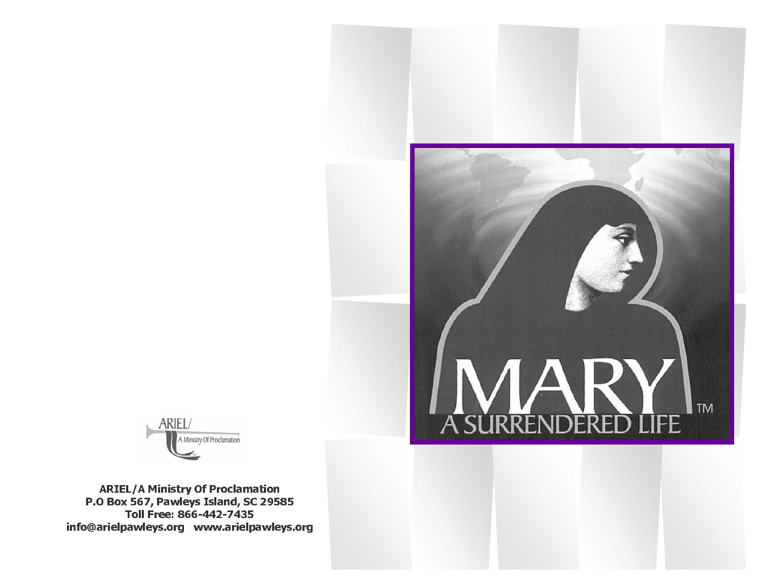



ARIEL/A Ministry Of Proclamation P.O Box 567, Pawleys Island, SC 29585 Toll Free: 866-442-7435 info@arielpawleys.org www.arielpawleys.org